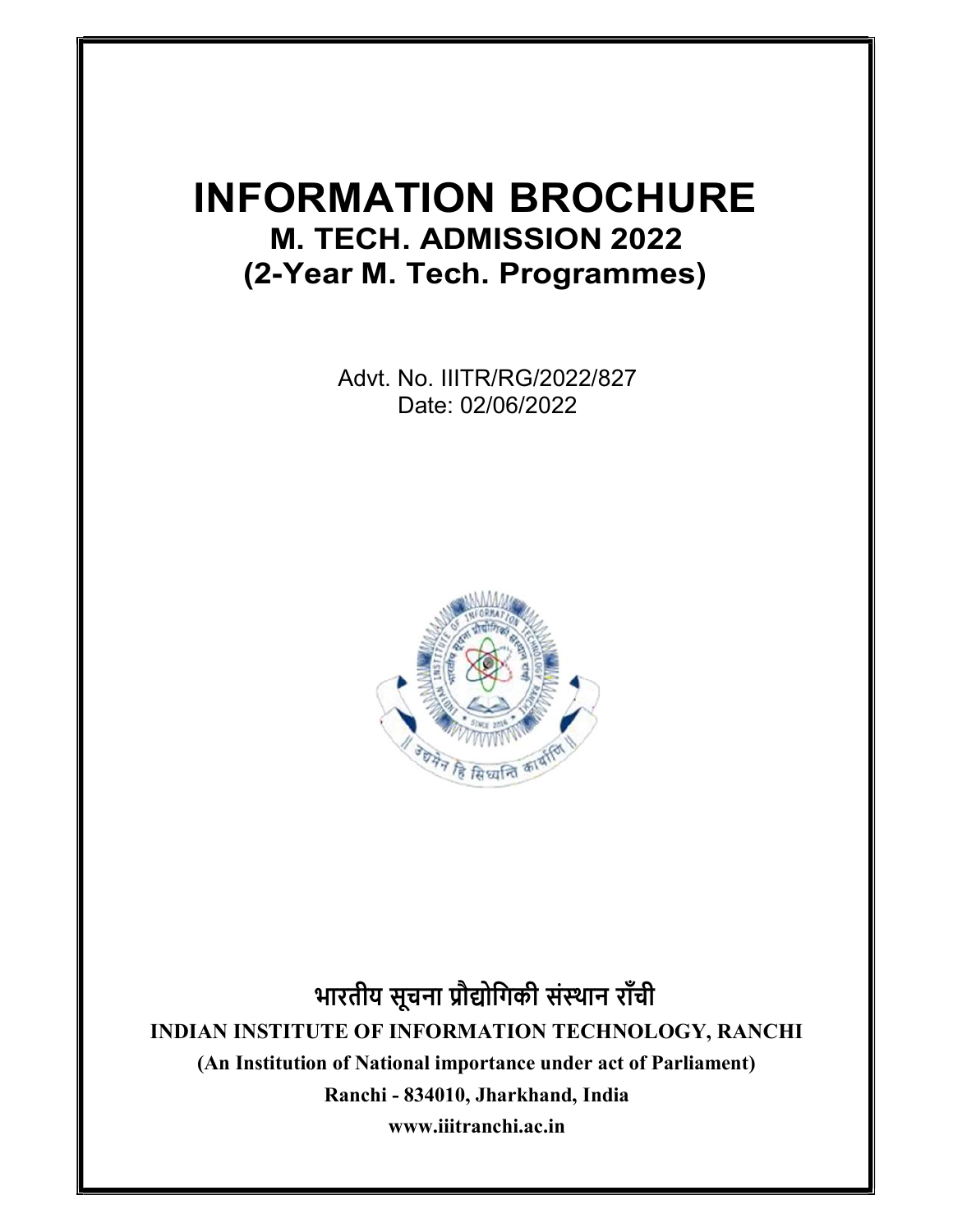# INFORMATION BROCHURE M. TECH. ADMISSION 2022 (2-Year M. Tech. Programmes)

Advt. No. IIITR/RG/2022/827 Date: 02/06/2022



भारतीय सूचना प्रौद्योगिकी संस्थान राँची INDIAN INSTITUTE OF INFORMATION TECHNOLOGY, RANCHI (An Institution of National importance under act of Parliament) Ranchi - 834010, Jharkhand, India www.iiitranchi.ac.in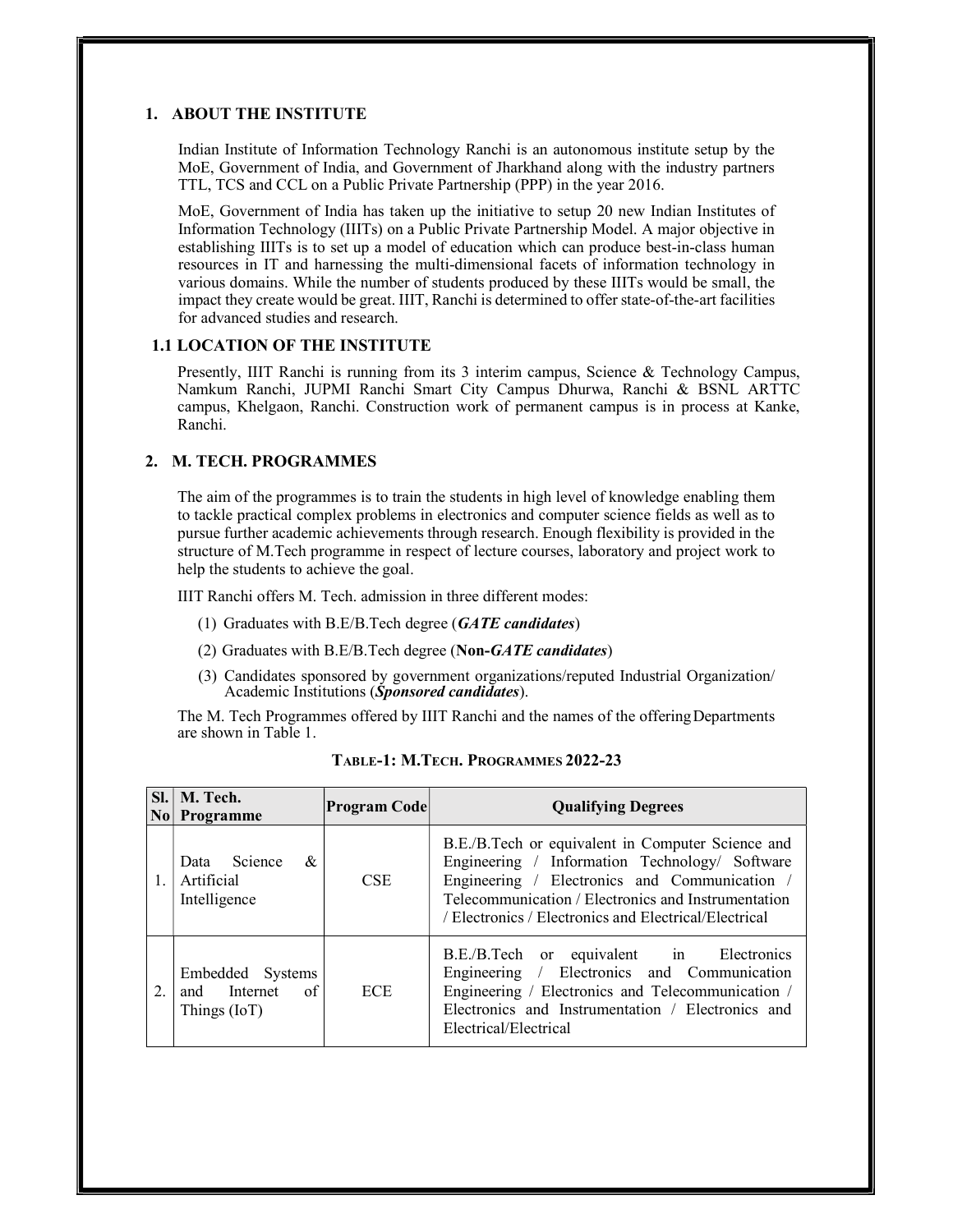# 1. ABOUT THE INSTITUTE

Indian Institute of Information Technology Ranchi is an autonomous institute setup by the MoE, Government of India, and Government of Jharkhand along with the industry partners TTL, TCS and CCL on a Public Private Partnership (PPP) in the year 2016.

MoE, Government of India has taken up the initiative to setup 20 new Indian Institutes of Information Technology (IIITs) on a Public Private Partnership Model. A major objective in establishing IIITs is to set up a model of education which can produce best-in-class human resources in IT and harnessing the multi-dimensional facets of information technology in various domains. While the number of students produced by these IIITs would be small, the impact they create would be great. IIIT, Ranchi is determined to offer state-of-the-art facilities for advanced studies and research.

#### 1.1 LOCATION OF THE INSTITUTE

Presently, IIIT Ranchi is running from its 3 interim campus, Science & Technology Campus, Namkum Ranchi, JUPMI Ranchi Smart City Campus Dhurwa, Ranchi & BSNL ARTTC campus, Khelgaon, Ranchi. Construction work of permanent campus is in process at Kanke, Ranchi.

# 2. M. TECH. PROGRAMMES

The aim of the programmes is to train the students in high level of knowledge enabling them to tackle practical complex problems in electronics and computer science fields as well as to pursue further academic achievements through research. Enough flexibility is provided in the structure of M.Tech programme in respect of lecture courses, laboratory and project work to help the students to achieve the goal.

IIIT Ranchi offers M. Tech. admission in three different modes:

- (1) Graduates with B.E/B.Tech degree  $(GATE \ candidates)$
- (2) Graduates with B.E/B.Tech degree (Non- $GATE$  candidates)
- (3) Candidates sponsored by government organizations/reputed Industrial Organization/ Academic Institutions (Sponsored candidates).

The M. Tech Programmes offered by IIIT Ranchi and the names of the offering Departments are shown in Table 1.

|    | Sl.   M. Tech.<br>No Programme                      | <b>Program Code</b> | <b>Qualifying Degrees</b>                                                                                                                                                                                                                                            |  |  |
|----|-----------------------------------------------------|---------------------|----------------------------------------------------------------------------------------------------------------------------------------------------------------------------------------------------------------------------------------------------------------------|--|--|
| 1. | Data Science &<br>Artificial<br>Intelligence        | <b>CSE</b>          | B.E./B.Tech or equivalent in Computer Science and<br>Engineering / Information Technology/ Software<br>Engineering / Electronics and Communication /<br>Telecommunication / Electronics and Instrumentation<br>/ Electronics / Electronics and Electrical/Electrical |  |  |
| 2. | Embedded Systems<br>and Internet of<br>Things (IoT) | <b>ECE</b>          | B.E./B.Tech or equivalent in Electronics<br>Engineering / Electronics and Communication<br>Engineering / Electronics and Telecommunication /<br>Electronics and Instrumentation / Electronics and<br>Electrical/Electrical                                           |  |  |

TABLE-1: M.TECH. PROGRAMMES 2022-23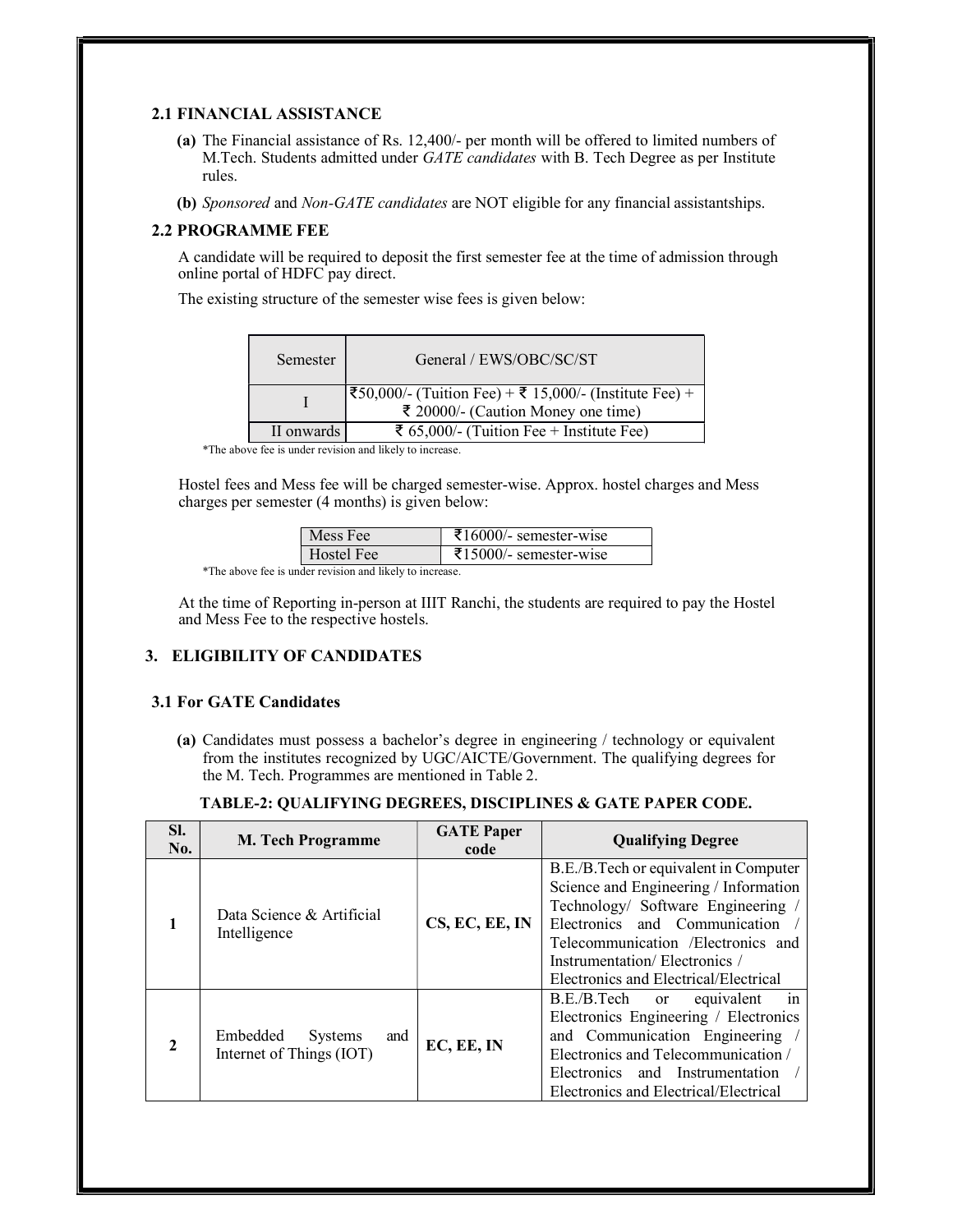# 2.1 FINANCIAL ASSISTANCE

- (a) The Financial assistance of Rs. 12,400/- per month will be offered to limited numbers of M.Tech. Students admitted under GATE candidates with B. Tech Degree as per Institute rules.
- (b) Sponsored and Non-GATE candidates are NOT eligible for any financial assistantships.

# 2.2 PROGRAMME FEE

A candidate will be required to deposit the first semester fee at the time of admission through online portal of HDFC pay direct.

The existing structure of the semester wise fees is given below:

| Semester   | General / EWS/OBC/SC/ST                                                                      |
|------------|----------------------------------------------------------------------------------------------|
|            | ₹50,000/- (Tuition Fee) + ₹ 15,000/- (Institute Fee) +<br>₹ 20000/- (Caution Money one time) |
| II onwards | ₹ 65,000/- (Tuition Fee + Institute Fee)                                                     |

\*The above fee is under revision and likely to increase.

Hostel fees and Mess fee will be charged semester-wise. Approx. hostel charges and Mess charges per semester (4 months) is given below:

| Mess Fee   | $\text{\textsterling}16000$ /- semester-wise |
|------------|----------------------------------------------|
| Hostel Fee | $\text{\textsterling}15000/-$ semester-wise  |

\*The above fee is under revision and likely to increase.

At the time of Reporting in-person at IIIT Ranchi, the students are required to pay the Hostel and Mess Fee to the respective hostels.

# 3. ELIGIBILITY OF CANDIDATES

# 3.1 For GATE Candidates

(a) Candidates must possess a bachelor's degree in engineering / technology or equivalent from the institutes recognized by UGC/AICTE/Government. The qualifying degrees for the M. Tech. Programmes are mentioned in Table 2.

| SI.<br>No.     | <b>M. Tech Programme</b>                               | <b>GATE Paper</b><br>code | <b>Qualifying Degree</b>                                                                                                                                                                                                                                              |
|----------------|--------------------------------------------------------|---------------------------|-----------------------------------------------------------------------------------------------------------------------------------------------------------------------------------------------------------------------------------------------------------------------|
|                | Data Science & Artificial<br>Intelligence              | CS, EC, EE, IN            | B.E./B.Tech or equivalent in Computer<br>Science and Engineering / Information<br>Technology/ Software Engineering /<br>Electronics and Communication<br>Telecommunication / Electronics and<br>Instrumentation/Electronics/<br>Electronics and Electrical/Electrical |
| $\overline{2}$ | Embedded<br>and<br>Systems<br>Internet of Things (IOT) | EC, EE, IN                | B.E./B.Tech or<br>equivalent<br>in<br>Electronics Engineering / Electronics<br>and Communication Engineering<br>Electronics and Telecommunication /<br>Electronics and Instrumentation<br>Electronics and Electrical/Electrical                                       |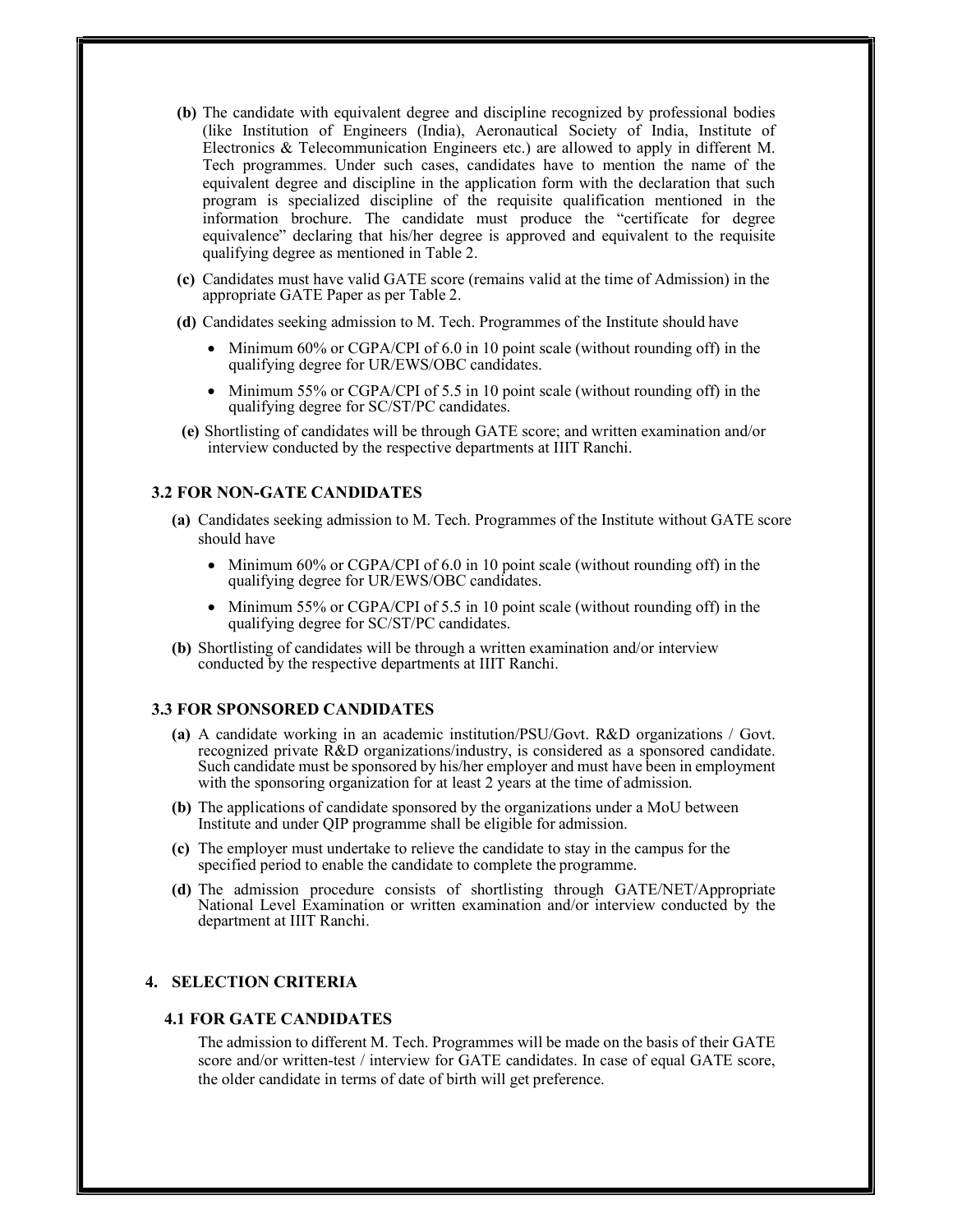- (b) The candidate with equivalent degree and discipline recognized by professional bodies (like Institution of Engineers (India), Aeronautical Society of India, Institute of Electronics & Telecommunication Engineers etc.) are allowed to apply in different M. Tech programmes. Under such cases, candidates have to mention the name of the equivalent degree and discipline in the application form with the declaration that such program is specialized discipline of the requisite qualification mentioned in the information brochure. The candidate must produce the "certificate for degree equivalence" declaring that his/her degree is approved and equivalent to the requisite qualifying degree as mentioned in Table 2.
- (c) Candidates must have valid GATE score (remains valid at the time of Admission) in the appropriate GATE Paper as per Table 2.
- (d) Candidates seeking admission to M. Tech. Programmes of the Institute should have
	- $\bullet$  Minimum 60% or CGPA/CPI of 6.0 in 10 point scale (without rounding off) in the qualifying degree for UR/EWS/OBC candidates.
	- Minimum 55% or CGPA/CPI of 5.5 in 10 point scale (without rounding off) in the qualifying degree for SC/ST/PC candidates.
- (e) Shortlisting of candidates will be through GATE score; and written examination and/or interview conducted by the respective departments at IIIT Ranchi.

## 3.2 FOR NON-GATE CANDIDATES

- (a) Candidates seeking admission to M. Tech. Programmes of the Institute without GATE score should have
	- Minimum 60% or CGPA/CPI of 6.0 in 10 point scale (without rounding off) in the qualifying degree for UR/EWS/OBC candidates.
	- Minimum 55% or CGPA/CPI of 5.5 in 10 point scale (without rounding off) in the qualifying degree for SC/ST/PC candidates.
- (b) Shortlisting of candidates will be through a written examination and/or interview conducted by the respective departments at IIIT Ranchi.

# 3.3 FOR SPONSORED CANDIDATES

- (a) A candidate working in an academic institution/PSU/Govt. R&D organizations / Govt. recognized private R&D organizations/industry, is considered as a sponsored candidate. Such candidate must be sponsored by his/her employer and must have been in employment with the sponsoring organization for at least 2 years at the time of admission.
- (b) The applications of candidate sponsored by the organizations under a MoU between Institute and under QIP programme shall be eligible for admission.
- (c) The employer must undertake to relieve the candidate to stay in the campus for the specified period to enable the candidate to complete the programme.
- (d) The admission procedure consists of shortlisting through GATE/NET/Appropriate National Level Examination or written examination and/or interview conducted by the department at IIIT Ranchi.

# 4. SELECTION CRITERIA

#### 4.1 FOR GATE CANDIDATES

The admission to different M. Tech. Programmes will be made on the basis of their GATE score and/or written-test / interview for GATE candidates. In case of equal GATE score, the older candidate in terms of date of birth will get preference.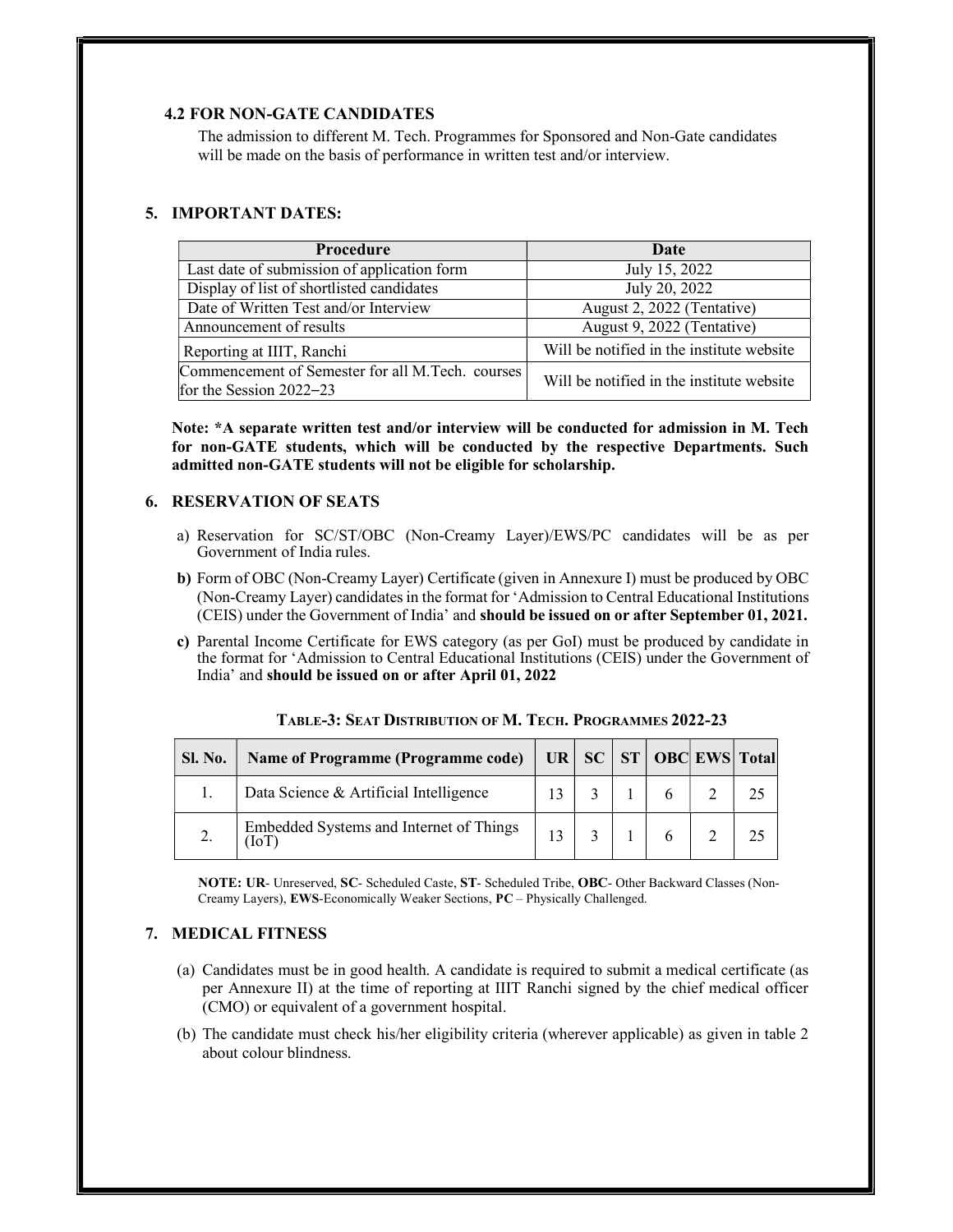# 4.2 FOR NON-GATE CANDIDATES

The admission to different M. Tech. Programmes for Sponsored and Non-Gate candidates will be made on the basis of performance in written test and/or interview.

## 5. IMPORTANT DATES:

| Procedure                                                                     | Date                                      |
|-------------------------------------------------------------------------------|-------------------------------------------|
| Last date of submission of application form                                   | July 15, 2022                             |
| Display of list of shortlisted candidates                                     | July 20, 2022                             |
| Date of Written Test and/or Interview                                         | August 2, 2022 (Tentative)                |
| Announcement of results                                                       | August 9, 2022 (Tentative)                |
| Reporting at IIIT, Ranchi                                                     | Will be notified in the institute website |
| Commencement of Semester for all M.Tech. courses<br>for the Session $2022-23$ | Will be notified in the institute website |

Note: \*A separate written test and/or interview will be conducted for admission in M. Tech for non-GATE students, which will be conducted by the respective Departments. Such admitted non-GATE students will not be eligible for scholarship.

## 6. RESERVATION OF SEATS

- a) Reservation for SC/ST/OBC (Non-Creamy Layer)/EWS/PC candidates will be as per Government of India rules.
- b) Form of OBC (Non-Creamy Layer) Certificate (given in Annexure I) must be produced by OBC (Non-Creamy Layer) candidates in the format for 'Admission to Central Educational Institutions (CEIS) under the Government of India' and should be issued on or after September 01, 2021.
- c) Parental Income Certificate for EWS category (as per GoI) must be produced by candidate in the format for 'Admission to Central Educational Institutions (CEIS) under the Government of India' and should be issued on or after April 01, 2022

| Sl. No. | Name of Programme (Programme code)             | $UR \, \, SC$ |  | <b>ST   OBC EWS   Total</b> |
|---------|------------------------------------------------|---------------|--|-----------------------------|
|         | Data Science & Artificial Intelligence         |               |  |                             |
|         | Embedded Systems and Internet of Things<br>ТoТ |               |  |                             |

TABLE-3: SEAT DISTRIBUTION OF M. TECH. PROGRAMMES 2022-23

NOTE: UR- Unreserved, SC- Scheduled Caste, ST- Scheduled Tribe, OBC- Other Backward Classes (Non-Creamy Layers), EWS-Economically Weaker Sections, PC – Physically Challenged.

# 7. MEDICAL FITNESS

- (a) Candidates must be in good health. A candidate is required to submit a medical certificate (as per Annexure II) at the time of reporting at IIIT Ranchi signed by the chief medical officer (CMO) or equivalent of a government hospital.
- (b) The candidate must check his/her eligibility criteria (wherever applicable) as given in table 2 about colour blindness.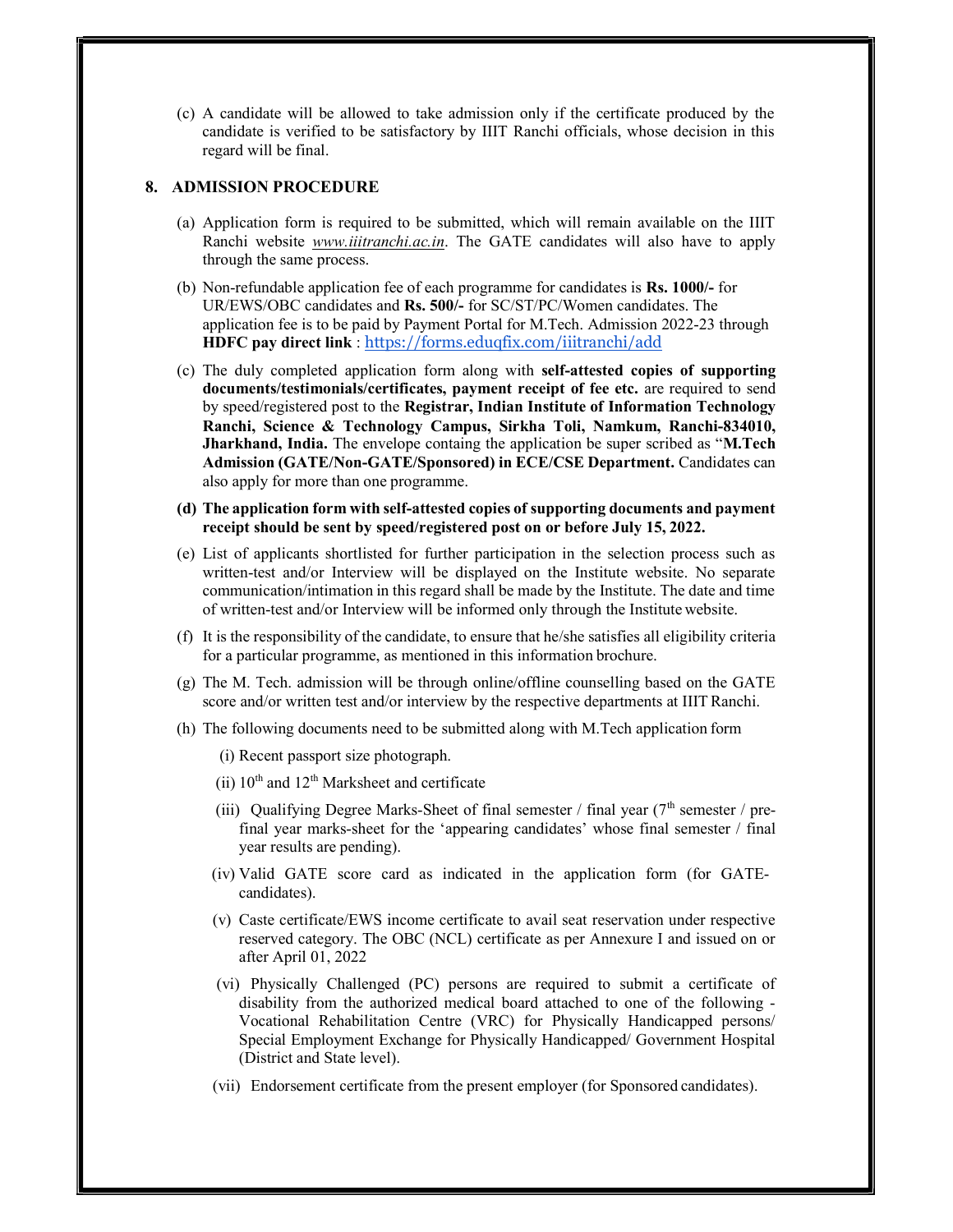(c) A candidate will be allowed to take admission only if the certificate produced by the candidate is verified to be satisfactory by IIIT Ranchi officials, whose decision in this regard will be final.

# 8. ADMISSION PROCEDURE

- (a) Application form is required to be submitted, which will remain available on the IIIT Ranchi website *www.iiitranchi.ac.in*. The GATE candidates will also have to apply through the same process.
- (b) Non-refundable application fee of each programme for candidates is Rs. 1000/- for UR/EWS/OBC candidates and Rs. 500/- for SC/ST/PC/Women candidates. The application fee is to be paid by Payment Portal for M.Tech. Admission 2022-23 through HDFC pay direct link : https://forms.eduqfix.com/iiitranchi/add
- (c) The duly completed application form along with self-attested copies of supporting documents/testimonials/certificates, payment receipt of fee etc. are required to send by speed/registered post to the Registrar, Indian Institute of Information Technology Ranchi, Science & Technology Campus, Sirkha Toli, Namkum, Ranchi-834010, Jharkhand, India. The envelope containg the application be super scribed as "M.Tech Admission (GATE/Non-GATE/Sponsored) in ECE/CSE Department. Candidates can also apply for more than one programme.
- (d) The application form with self-attested copies of supporting documents and payment receipt should be sent by speed/registered post on or before July 15, 2022.
- (e) List of applicants shortlisted for further participation in the selection process such as written-test and/or Interview will be displayed on the Institute website. No separate communication/intimation in this regard shall be made by the Institute. The date and time of written-test and/or Interview will be informed only through the Institute website.
- (f) It is the responsibility of the candidate, to ensure that he/she satisfies all eligibility criteria for a particular programme, as mentioned in this information brochure.
- (g) The M. Tech. admission will be through online/offline counselling based on the GATE score and/or written test and/or interview by the respective departments at IIIT Ranchi.
- (h) The following documents need to be submitted along with M.Tech application form
	- (i) Recent passport size photograph.
	- (ii)  $10^{th}$  and  $12^{th}$  Marksheet and certificate
	- (iii) Qualifying Degree Marks-Sheet of final semester / final year  $(7<sup>th</sup>$  semester / prefinal year marks-sheet for the 'appearing candidates' whose final semester / final year results are pending).
	- (iv) Valid GATE score card as indicated in the application form (for GATEcandidates).
	- (v) Caste certificate/EWS income certificate to avail seat reservation under respective reserved category. The OBC (NCL) certificate as per Annexure I and issued on or after April 01, 2022
	- (vi) Physically Challenged (PC) persons are required to submit a certificate of disability from the authorized medical board attached to one of the following - Vocational Rehabilitation Centre (VRC) for Physically Handicapped persons/ Special Employment Exchange for Physically Handicapped/ Government Hospital (District and State level).
	- (vii) Endorsement certificate from the present employer (for Sponsored candidates).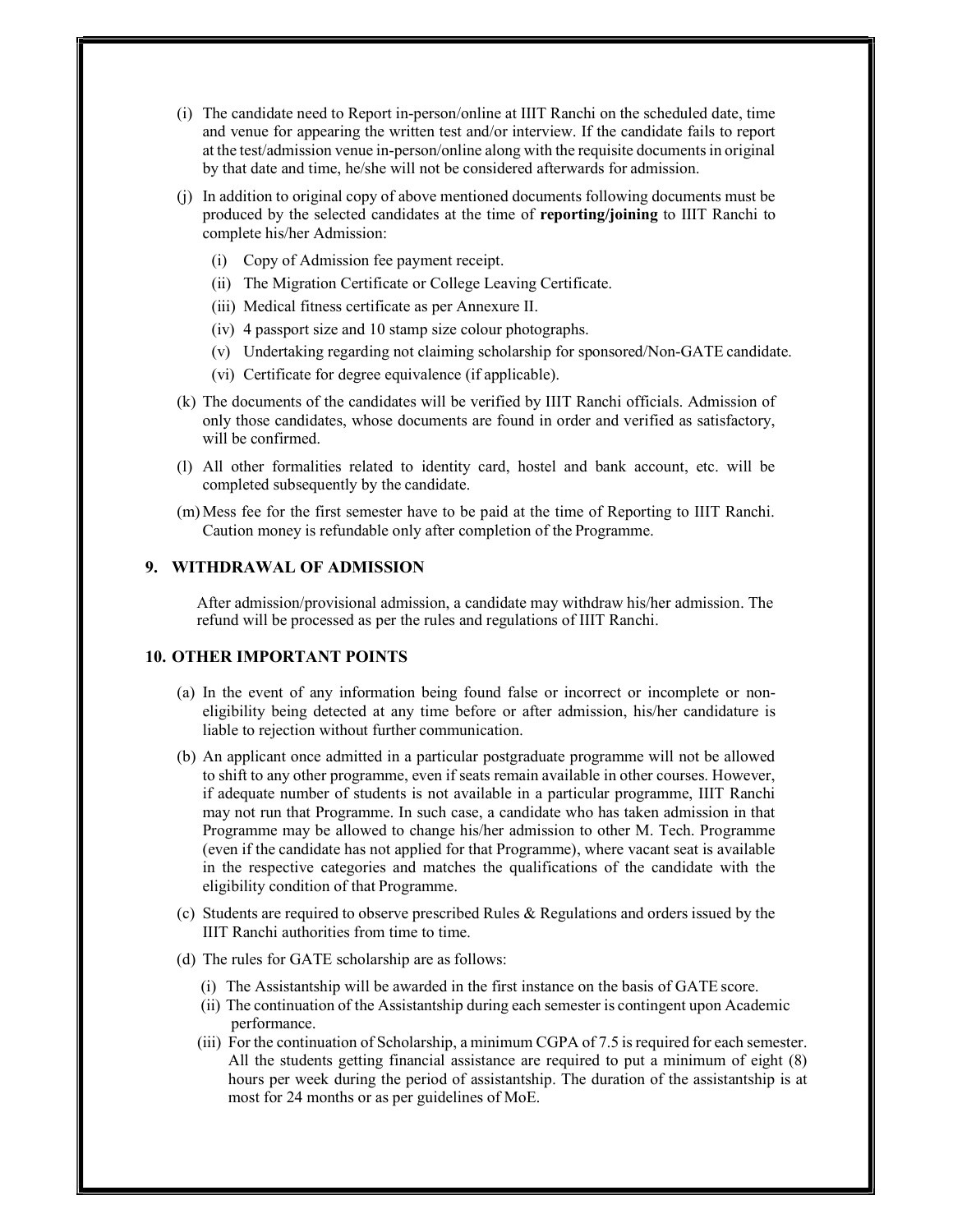- (i) The candidate need to Report in-person/online at IIIT Ranchi on the scheduled date, time and venue for appearing the written test and/or interview. If the candidate fails to report at the test/admission venue in-person/online along with the requisite documents in original by that date and time, he/she will not be considered afterwards for admission.
- (j) In addition to original copy of above mentioned documents following documents must be produced by the selected candidates at the time of reporting/joining to IIIT Ranchi to complete his/her Admission:
	- (i) Copy of Admission fee payment receipt.
	- (ii) The Migration Certificate or College Leaving Certificate.
	- (iii) Medical fitness certificate as per Annexure II.
	- (iv) 4 passport size and 10 stamp size colour photographs.
	- (v) Undertaking regarding not claiming scholarship for sponsored/Non-GATE candidate.
	- (vi) Certificate for degree equivalence (if applicable).
- (k) The documents of the candidates will be verified by IIIT Ranchi officials. Admission of only those candidates, whose documents are found in order and verified as satisfactory, will be confirmed.
- (l) All other formalities related to identity card, hostel and bank account, etc. will be completed subsequently by the candidate.
- (m)Mess fee for the first semester have to be paid at the time of Reporting to IIIT Ranchi. Caution money is refundable only after completion of the Programme.

# 9. WITHDRAWAL OF ADMISSION

After admission/provisional admission, a candidate may withdraw his/her admission. The refund will be processed as per the rules and regulations of IIIT Ranchi.

# 10. OTHER IMPORTANT POINTS

- (a) In the event of any information being found false or incorrect or incomplete or noneligibility being detected at any time before or after admission, his/her candidature is liable to rejection without further communication.
- (b) An applicant once admitted in a particular postgraduate programme will not be allowed to shift to any other programme, even if seats remain available in other courses. However, if adequate number of students is not available in a particular programme, IIIT Ranchi may not run that Programme. In such case, a candidate who has taken admission in that Programme may be allowed to change his/her admission to other M. Tech. Programme (even if the candidate has not applied for that Programme), where vacant seat is available in the respective categories and matches the qualifications of the candidate with the eligibility condition of that Programme.
- (c) Students are required to observe prescribed Rules & Regulations and orders issued by the IIIT Ranchi authorities from time to time.
- (d) The rules for GATE scholarship are as follows:
	- (i) The Assistantship will be awarded in the first instance on the basis of GATE score.
	- (ii) The continuation of the Assistantship during each semester is contingent upon Academic performance.
	- (iii) For the continuation of Scholarship, a minimum CGPA of 7.5 is required for each semester. All the students getting financial assistance are required to put a minimum of eight (8) hours per week during the period of assistantship. The duration of the assistantship is at most for 24 months or as per guidelines of MoE.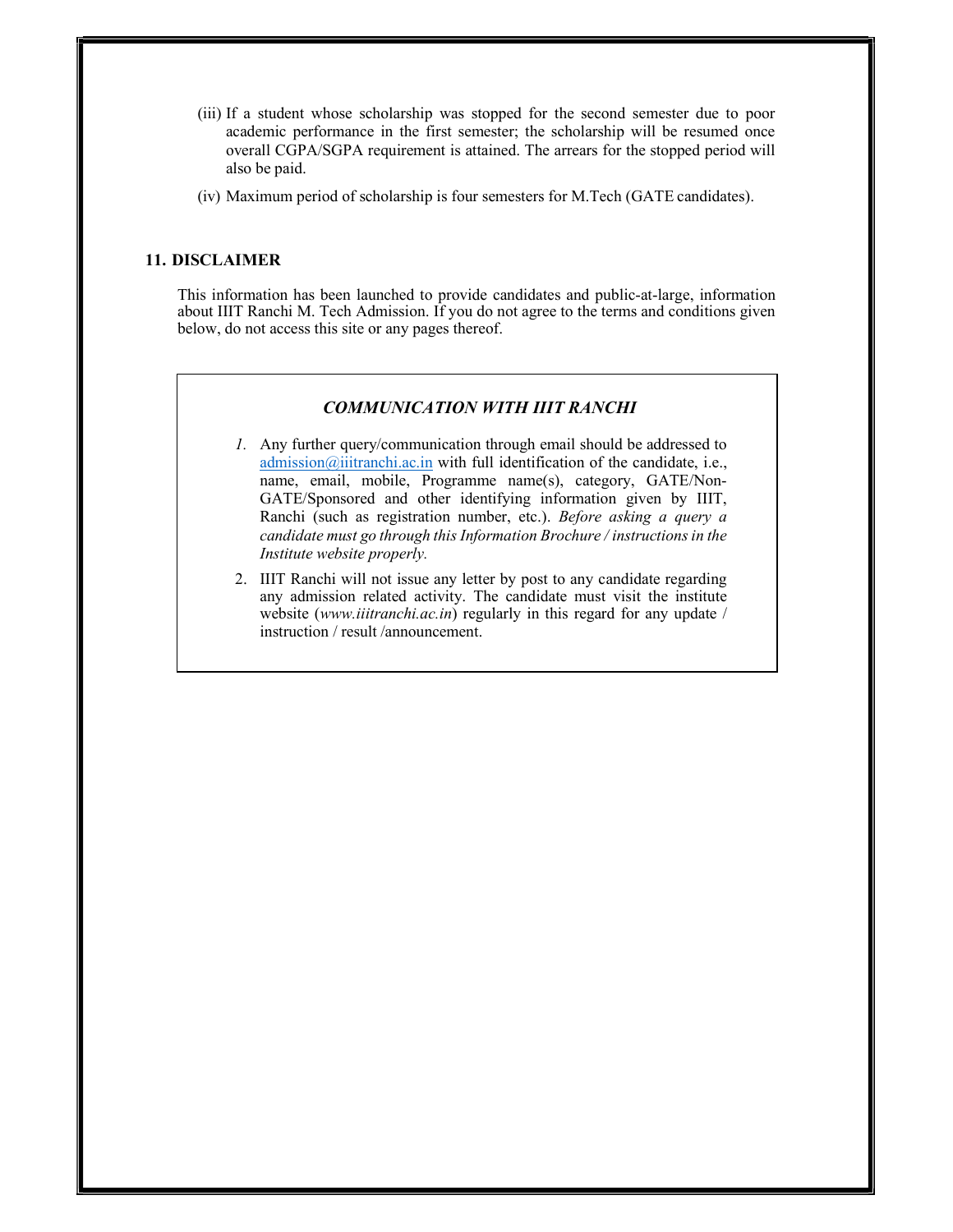- (iii) If a student whose scholarship was stopped for the second semester due to poor academic performance in the first semester; the scholarship will be resumed once overall CGPA/SGPA requirement is attained. The arrears for the stopped period will also be paid.
- (iv) Maximum period of scholarship is four semesters for M.Tech (GATE candidates).

# 11. DISCLAIMER

This information has been launched to provide candidates and public-at-large, information about IIIT Ranchi M. Tech Admission. If you do not agree to the terms and conditions given below, do not access this site or any pages thereof.

## COMMUNICATION WITH IIIT RANCHI

- 1. Any further query/communication through email should be addressed to admission@iiitranchi.ac.in with full identification of the candidate, i.e., name, email, mobile, Programme name(s), category, GATE/Non-GATE/Sponsored and other identifying information given by IIIT, Ranchi (such as registration number, etc.). Before asking a query a candidate must go through this Information Brochure / instructions in the Institute website properly.
- 2. IIIT Ranchi will not issue any letter by post to any candidate regarding any admission related activity. The candidate must visit the institute website (www.iiitranchi.ac.in) regularly in this regard for any update / instruction / result /announcement.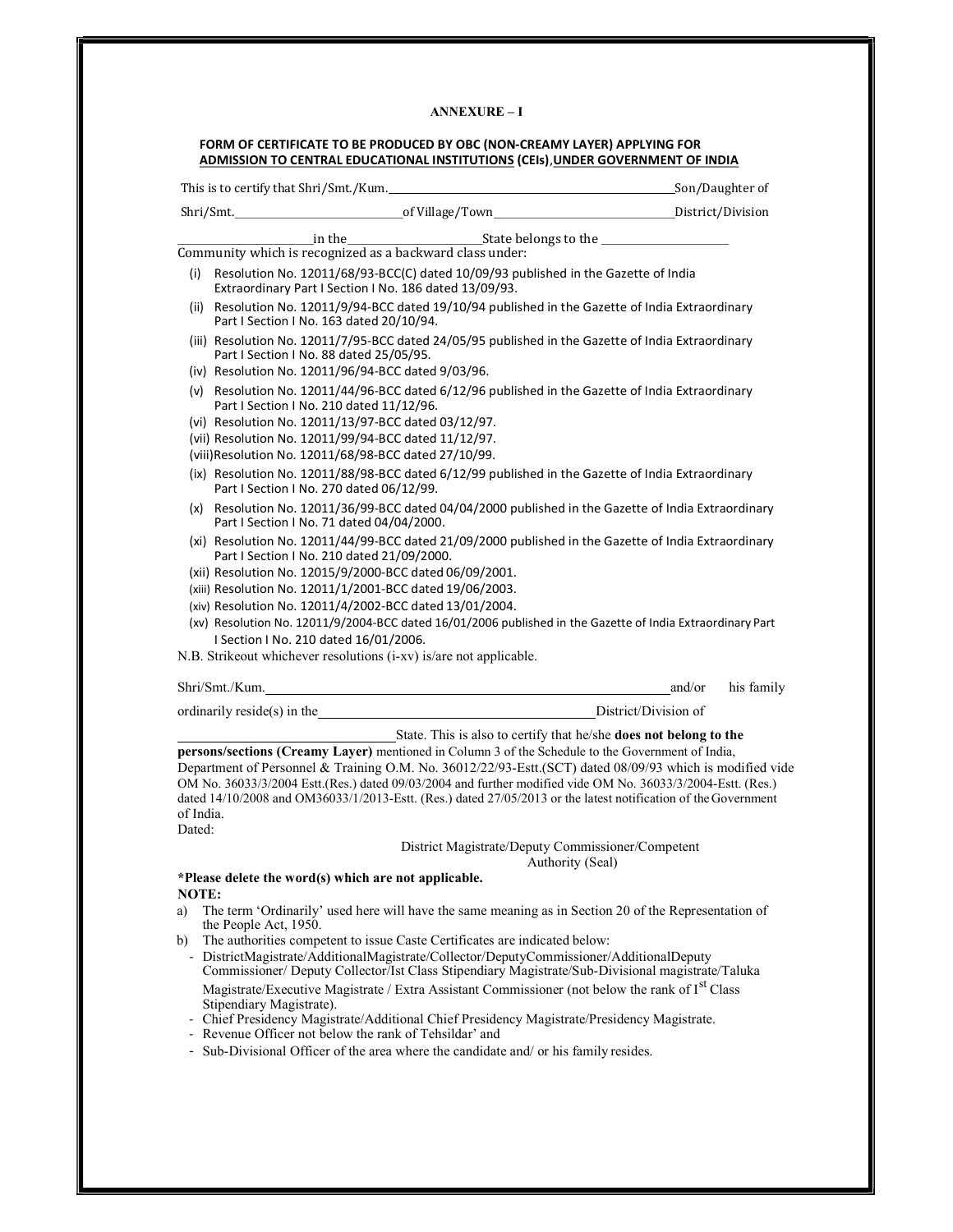#### ANNEXURE – I

|     |                                                                                                                     | This is to certify that Shri/Smt./Kum.<br>Son/Daughter of                                                                                                                                                                                                                                                                                                                                                                                                                                                           |        |            |
|-----|---------------------------------------------------------------------------------------------------------------------|---------------------------------------------------------------------------------------------------------------------------------------------------------------------------------------------------------------------------------------------------------------------------------------------------------------------------------------------------------------------------------------------------------------------------------------------------------------------------------------------------------------------|--------|------------|
|     |                                                                                                                     |                                                                                                                                                                                                                                                                                                                                                                                                                                                                                                                     |        |            |
|     |                                                                                                                     | $\frac{\text{in the}}{\text{Commuty which is recognized as a backward class under:}}$                                                                                                                                                                                                                                                                                                                                                                                                                               |        |            |
|     |                                                                                                                     |                                                                                                                                                                                                                                                                                                                                                                                                                                                                                                                     |        |            |
| (i) | Extraordinary Part I Section I No. 186 dated 13/09/93.                                                              | Resolution No. 12011/68/93-BCC(C) dated 10/09/93 published in the Gazette of India                                                                                                                                                                                                                                                                                                                                                                                                                                  |        |            |
|     | Part I Section I No. 163 dated 20/10/94.                                                                            | (ii) Resolution No. 12011/9/94-BCC dated 19/10/94 published in the Gazette of India Extraordinary                                                                                                                                                                                                                                                                                                                                                                                                                   |        |            |
|     | Part I Section I No. 88 dated 25/05/95.<br>(iv) Resolution No. 12011/96/94-BCC dated 9/03/96.                       | (iii) Resolution No. 12011/7/95-BCC dated 24/05/95 published in the Gazette of India Extraordinary                                                                                                                                                                                                                                                                                                                                                                                                                  |        |            |
|     | Part I Section I No. 210 dated 11/12/96.<br>(vi) Resolution No. 12011/13/97-BCC dated 03/12/97.                     | (v) Resolution No. 12011/44/96-BCC dated 6/12/96 published in the Gazette of India Extraordinary                                                                                                                                                                                                                                                                                                                                                                                                                    |        |            |
|     | (vii) Resolution No. 12011/99/94-BCC dated 11/12/97.<br>(viii) Resolution No. 12011/68/98-BCC dated 27/10/99.       |                                                                                                                                                                                                                                                                                                                                                                                                                                                                                                                     |        |            |
|     | Part I Section I No. 270 dated 06/12/99.                                                                            | (ix) Resolution No. 12011/88/98-BCC dated 6/12/99 published in the Gazette of India Extraordinary                                                                                                                                                                                                                                                                                                                                                                                                                   |        |            |
|     | Part I Section I No. 71 dated 04/04/2000.                                                                           | (x) Resolution No. 12011/36/99-BCC dated 04/04/2000 published in the Gazette of India Extraordinary                                                                                                                                                                                                                                                                                                                                                                                                                 |        |            |
|     | Part I Section I No. 210 dated 21/09/2000.                                                                          | (xi) Resolution No. 12011/44/99-BCC dated 21/09/2000 published in the Gazette of India Extraordinary                                                                                                                                                                                                                                                                                                                                                                                                                |        |            |
|     | (xii) Resolution No. 12015/9/2000-BCC dated 06/09/2001.<br>(xiii) Resolution No. 12011/1/2001-BCC dated 19/06/2003. |                                                                                                                                                                                                                                                                                                                                                                                                                                                                                                                     |        |            |
|     | (xiv) Resolution No. 12011/4/2002-BCC dated 13/01/2004.                                                             |                                                                                                                                                                                                                                                                                                                                                                                                                                                                                                                     |        |            |
|     | I Section I No. 210 dated 16/01/2006.                                                                               | (xv) Resolution No. 12011/9/2004-BCC dated 16/01/2006 published in the Gazette of India Extraordinary Part                                                                                                                                                                                                                                                                                                                                                                                                          |        |            |
|     | N.B. Strikeout whichever resolutions (i-xv) is/are not applicable.                                                  |                                                                                                                                                                                                                                                                                                                                                                                                                                                                                                                     |        |            |
|     |                                                                                                                     | Shri/Smt./Kum.                                                                                                                                                                                                                                                                                                                                                                                                                                                                                                      | and/or | his family |
|     |                                                                                                                     | ordinarily reside(s) in the District/Division of                                                                                                                                                                                                                                                                                                                                                                                                                                                                    |        |            |
|     |                                                                                                                     | State. This is also to certify that he/she does not belong to the<br>persons/sections (Creamy Layer) mentioned in Column 3 of the Schedule to the Government of India,<br>Department of Personnel & Training O.M. No. 36012/22/93-Estt.(SCT) dated 08/09/93 which is modified vide<br>OM No. 36033/3/2004 Estt.(Res.) dated 09/03/2004 and further modified vide OM No. 36033/3/2004-Estt. (Res.)<br>dated 14/10/2008 and OM36033/1/2013-Estt. (Res.) dated 27/05/2013 or the latest notification of the Government |        |            |

#### Dated:

#### District Magistrate/Deputy Commissioner/Competent Authority (Seal)

#### \*Please delete the word(s) which are not applicable. NOTE:

- a) The term 'Ordinarily' used here will have the same meaning as in Section 20 of the Representation of the People Act, 1950.
- b) The authorities competent to issue Caste Certificates are indicated below:
	- DistrictMagistrate/AdditionalMagistrate/Collector/DeputyCommissioner/AdditionalDeputy Commissioner/ Deputy Collector/Ist Class Stipendiary Magistrate/Sub-Divisional magistrate/Taluka Magistrate/Executive Magistrate / Extra Assistant Commissioner (not below the rank of I<sup>st</sup> Class Stipendiary Magistrate).
	- Chief Presidency Magistrate/Additional Chief Presidency Magistrate/Presidency Magistrate.
	- Revenue Officer not below the rank of Tehsildar' and
	- Sub-Divisional Officer of the area where the candidate and/ or his family resides.